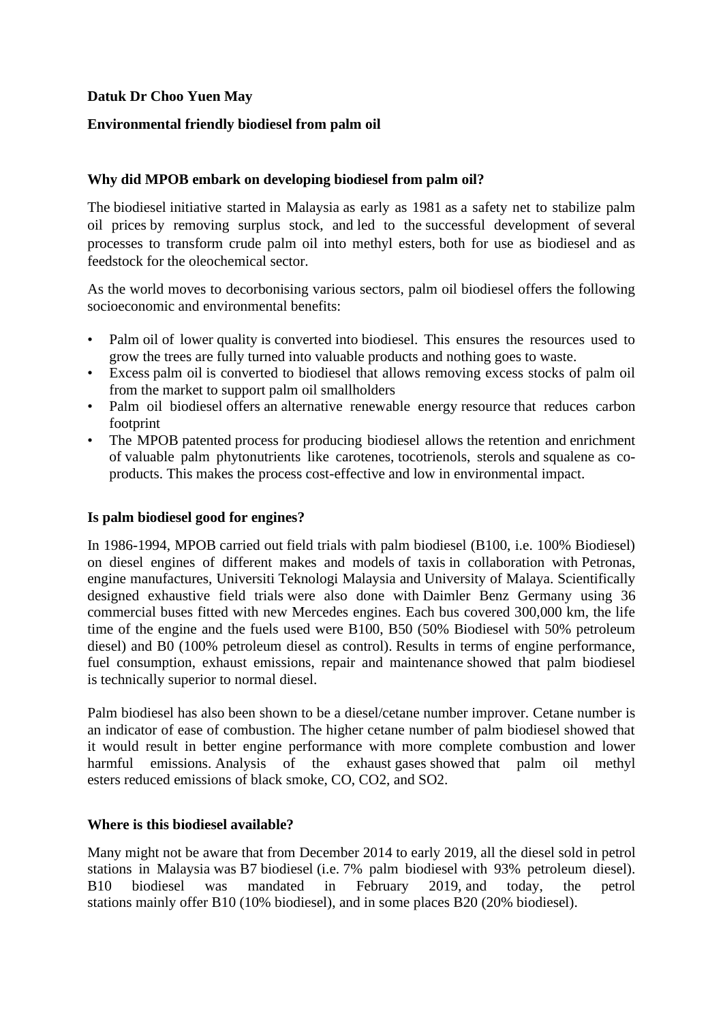# **Datuk Dr Choo Yuen May**

# **Environmental friendly biodiesel from palm oil**

# **Why did MPOB embark on developing biodiesel from palm oil?**

The biodiesel initiative started in Malaysia as early as 1981 as a safety net to stabilize palm oil prices by removing surplus stock, and led to the successful development of several processes to transform crude palm oil into methyl esters, both for use as biodiesel and as feedstock for the oleochemical sector.

As the world moves to decorbonising various sectors, palm oil biodiesel offers the following socioeconomic and environmental benefits:

- Palm oil of lower quality is converted into biodiesel. This ensures the resources used to grow the trees are fully turned into valuable products and nothing goes to waste.
- Excess palm oil is converted to biodiesel that allows removing excess stocks of palm oil from the market to support palm oil smallholders
- Palm oil biodiesel offers an alternative renewable energy resource that reduces carbon footprint
- The MPOB patented process for producing biodiesel allows the retention and enrichment of valuable palm phytonutrients like carotenes, tocotrienols, sterols and squalene as coproducts. This makes the process cost-effective and low in environmental impact.

### **Is palm biodiesel good for engines?**

In 1986-1994, MPOB carried out field trials with palm biodiesel (B100, i.e. 100% Biodiesel) on diesel engines of different makes and models of taxis in collaboration with Petronas, engine manufactures, Universiti Teknologi Malaysia and University of Malaya. Scientifically designed exhaustive field trials were also done with Daimler Benz Germany using 36 commercial buses fitted with new Mercedes engines. Each bus covered 300,000 km, the life time of the engine and the fuels used were B100, B50 (50% Biodiesel with 50% petroleum diesel) and B0 (100% petroleum diesel as control). Results in terms of engine performance, fuel consumption, exhaust emissions, repair and maintenance showed that palm biodiesel is technically superior to normal diesel.

Palm biodiesel has also been shown to be a diesel/cetane number improver. Cetane number is an indicator of ease of combustion. The higher cetane number of palm biodiesel showed that it would result in better engine performance with more complete combustion and lower harmful emissions. Analysis of the exhaust gases showed that palm oil methyl esters reduced emissions of black smoke, CO, CO2, and SO2.

# **Where is this biodiesel available?**

Many might not be aware that from December 2014 to early 2019, all the diesel sold in petrol stations in Malaysia was B7 biodiesel (i.e. 7% palm biodiesel with 93% petroleum diesel). B10 biodiesel was mandated in February 2019, and today, the petrol stations mainly offer B10 (10% biodiesel), and in some places B20 (20% biodiesel).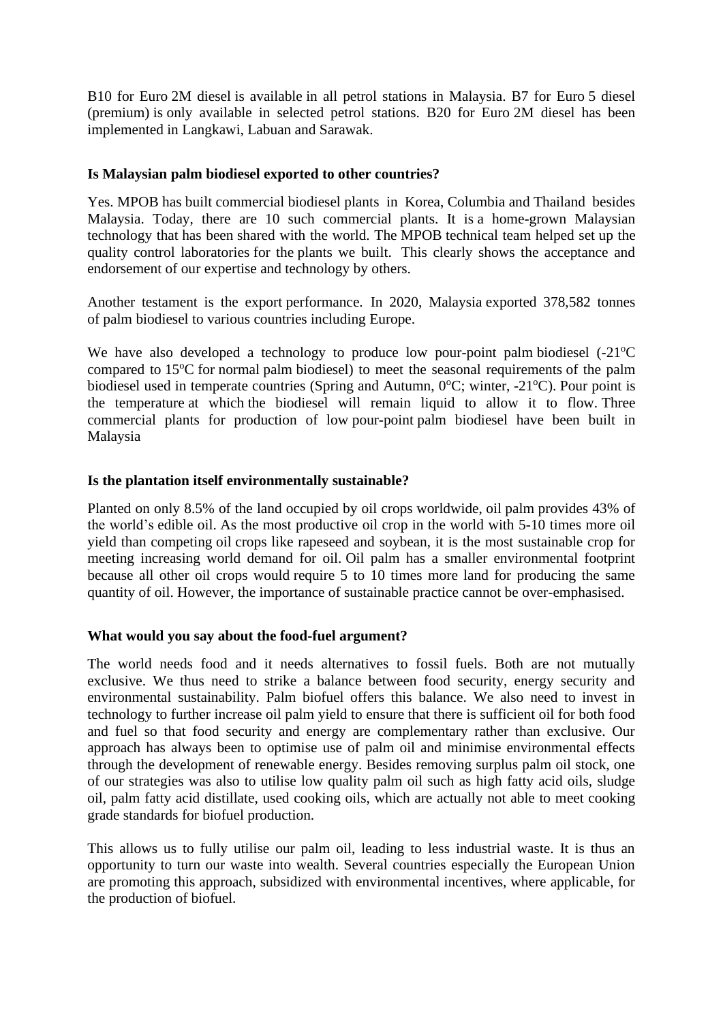B10 for Euro 2M diesel is available in all petrol stations in Malaysia. B7 for Euro 5 diesel (premium) is only available in selected petrol stations. B20 for Euro 2M diesel has been implemented in Langkawi, Labuan and Sarawak.

### **Is Malaysian palm biodiesel exported to other countries?**

Yes. MPOB has built commercial biodiesel plants in Korea, Columbia and Thailand besides Malaysia. Today, there are 10 such commercial plants. It is a home-grown Malaysian technology that has been shared with the world. The MPOB technical team helped set up the quality control laboratories for the plants we built. This clearly shows the acceptance and endorsement of our expertise and technology by others.

Another testament is the export performance. In 2020, Malaysia exported 378,582 tonnes of palm biodiesel to various countries including Europe.

We have also developed a technology to produce low pour-point palm biodiesel  $(-21^{\circ}C)$ compared to  $15^{\circ}$ C for normal palm biodiesel) to meet the seasonal requirements of the palm biodiesel used in temperate countries (Spring and Autumn,  $0^{\circ}$ C; winter, -21 $^{\circ}$ C). Pour point is the temperature at which the biodiesel will remain liquid to allow it to flow. Three commercial plants for production of low pour-point palm biodiesel have been built in Malaysia

#### **Is the plantation itself environmentally sustainable?**

Planted on only 8.5% of the land occupied by oil crops worldwide, oil palm provides 43% of the world's edible oil. As the most productive oil crop in the world with 5-10 times more oil yield than competing oil crops like rapeseed and soybean, it is the most sustainable crop for meeting increasing world demand for oil. Oil palm has a smaller environmental footprint because all other oil crops would require 5 to 10 times more land for producing the same quantity of oil. However, the importance of sustainable practice cannot be over-emphasised.

#### **What would you say about the food-fuel argument?**

The world needs food and it needs alternatives to fossil fuels. Both are not mutually exclusive. We thus need to strike a balance between food security, energy security and environmental sustainability. Palm biofuel offers this balance. We also need to invest in technology to further increase oil palm yield to ensure that there is sufficient oil for both food and fuel so that food security and energy are complementary rather than exclusive. Our approach has always been to optimise use of palm oil and minimise environmental effects through the development of renewable energy. Besides removing surplus palm oil stock, one of our strategies was also to utilise low quality palm oil such as high fatty acid oils, sludge oil, palm fatty acid distillate, used cooking oils, which are actually not able to meet cooking grade standards for biofuel production.

This allows us to fully utilise our palm oil, leading to less industrial waste. It is thus an opportunity to turn our waste into wealth. Several countries especially the European Union are promoting this approach, subsidized with environmental incentives, where applicable, for the production of biofuel.